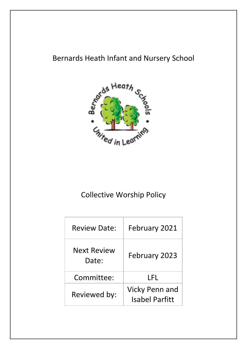# Bernards Heath Infant and Nursery School



# Collective Worship Policy

| <b>Review Date:</b>         | February 2021                                  |  |  |
|-----------------------------|------------------------------------------------|--|--|
| <b>Next Review</b><br>Date: | February 2023                                  |  |  |
| Committee:                  | I FI.                                          |  |  |
| Reviewed by:                | <b>Vicky Penn and</b><br><b>Isabel Parfitt</b> |  |  |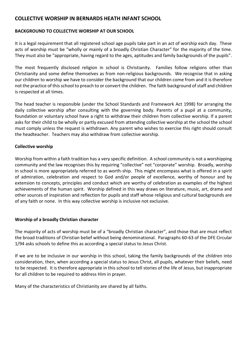# **COLLECTIVE WORSHIP IN BERNARDS HEATH INFANT SCHOOL**

## **BACKGROUND TO COLLECTIVE WORSHIP AT OUR SCHOOL**

It is a legal requirement that all registered school age pupils take part in an act of worship each day. These acts of worship must be "wholly or mainly of a broadly Christian Character" for the majority of the time. They must also be "appropriate, having regard to the ages, aptitudes and family backgrounds of the pupils".

The most frequently disclosed religion in school is Christianity. Families follow religions other than Christianity and some define themselves as from non-religious backgrounds. We recognise that in asking our children to worship we have to consider the background that our children come from and it is therefore not the practice of this school to preach to or convert the children. The faith background ofstaff and children is respected at all times.

The head teacher is responsible (under the School Standards and Framework Act 1998) for arranging the daily collective worship after consulting with the governing body. Parents of a pupil at a community, foundation or voluntary school have a right to withdraw their children from collective worship. If a parent asks for their child to be wholly or partly excused from attending collective worship at the school the school must comply unless the request is withdrawn. Any parent who wishes to exercise this right should consult the headteacher. Teachers may also withdraw from collective worship.

### **Collective worship**

Worship from within a faith tradition has a very specific definition. A school community is not a worshipping community and the law recognises this by requiring "collective" not "corporate" worship. Broadly, worship in school is more appropriately referred to as worth-ship. This might encompass what is offered in a spirit of admiration, celebration and respect to God and/or people of excellence, worthy of honour and by extension to concepts, principles and conduct which are worthy of celebration as examples of the highest achievements of the human spirit. Worship defined in this way draws on literature, music, art, drama and other sources of inspiration and reflection for pupils and staff whose religious and cultural backgrounds are of any faith or none. In this way collective worship is inclusive not exclusive.

## **Worship of a broadly Christian character**

The majority of acts of worship must be of a "broadly Christian character", and those that are must reflect the broad traditions of Christian belief without being denominational. Paragraphs 60-63 of the DFE Circular 1/94 asks schools to define this as according a special status to Jesus Christ.

If we are to be inclusive in our worship in this school, taking the family backgrounds of the children into consideration, then, when according a special status to Jesus Christ, all pupils, whatever their beliefs, need to be respected. It is therefore appropriate in this school to tell stories of the life of Jesus, but inappropriate for all children to be required to address Him in prayer.

Many of the characteristics of Christianity are shared by all faiths.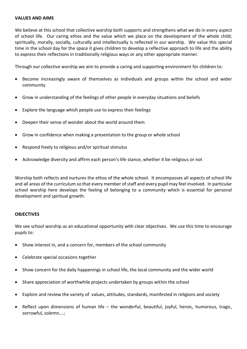#### **VALUES AND AIMS**

We believe at this school that collective worship both supports and strengthens what we do in every aspect of school life. Our caring ethos and the value which we place on the development of the whole child; spiritually, morally, socially, culturally and intellectually is reflected in our worship. We value this special time in the school day for the space it gives children to develop a reflective approach to life and the ability to express their reflections in traditionally religious ways or any other appropriate manner.

Through our collective worship we aim to provide a caring and supporting environment for children to:

- Become increasingly aware of themselves as individuals and groups within the school and wider community
- Grow in understanding of the feelings of other people in everyday situations and beliefs
- Explore the language which people use to express their feelings
- Deepen their sense of wonder about the world around them
- Grow in confidence when making a presentation to the group or whole school
- Respond freely to religious and/or spiritual stimulus
- Acknowledge diversity and affirm each person's life stance, whether it be religious or not

Worship both reflects and nurtures the ethos of the whole school. It encompasses all aspects of school life and all areas of the curriculum so that every member of staff and every pupil may feel involved. In particular school worship here develops the feeling of belonging to a community which is essential for personal development and spiritual growth.

#### **OBJECTIVES**

We see school worship as an educational opportunity with clear objectives. We use this time to encourage pupils to:

- Show interest in, and a concern for, members of the school community
- Celebrate special occasions together
- Show concern for the daily happenings in school life, the local community and the wider world
- Share appreciation of worthwhile projects undertaken by groups within the school
- Explore and review the variety of values, attitudes, standards, manifested in religions and society
- Reflect upon dimensions of human life the wonderful, beautiful, joyful, heroic, humorous, tragic, sorrowful, solemn….;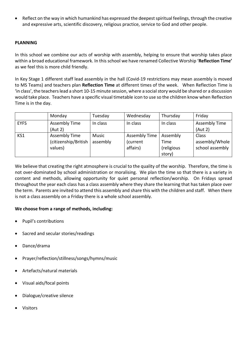Reflect on the way in which humankind has expressed the deepest spiritual feelings, through the creative and expressive arts, scientific discovery, religious practice, service to God and other people.

## **PLANNING**

In this school we combine our acts of worship with assembly, helping to ensure that worship takes place within a broad educational framework. In this school we have renamed Collective Worship '**Reflection Time'** as we feel this is more child friendly.

In Key Stage 1 different staff lead assembly in the hall (Covid-19 restrictions may mean assembly is moved to MS Teams) and teachers plan **Reflection Time** at different times of the week. When Reflection Time is 'in class', the teachers lead a short 10-15 minute session, where a social story would be shared or a discussion would take place. Teachers have a specific visual timetable icon to use so the children know when Reflection Time is in the day.

|             | Monday                                                  | Tuesday           | Wednesday                             | Thursday                                 | Friday                                     |
|-------------|---------------------------------------------------------|-------------------|---------------------------------------|------------------------------------------|--------------------------------------------|
| <b>EYFS</b> | Assembly Time<br>(Aut 2)                                | In class          | In class                              | In class                                 | <b>Assembly Time</b><br>(Aut 2)            |
| KS1         | <b>Assembly Time</b><br>(citizenship/British<br>values) | Music<br>assembly | Assembly Time<br>(current<br>affairs) | Assembly<br>Time<br>(religious<br>story) | Class<br>assembly/Whole<br>school assembly |

We believe that creating the right atmosphere is crucial to the quality of the worship. Therefore, the time is not over-dominated by school administration or moralising. We plan the time so that there is a variety in content and methods, allowing opportunity for quiet personal reflection/worship. On Fridays spread throughout the year each class has a class assembly where they share the learning that has taken place over the term. Parents are invited to attend this assembly and share this with the children and staff. When there is not a class assembly on a Friday there is a whole school assembly.

# **We choose from a range of methods, including:**

- Pupil's contributions
- Sacred and secular stories/readings
- Dance/drama
- Prayer/reflection/stillness/songs/hymns/music
- Artefacts/natural materials
- Visual aids/focal points
- Dialogue/creative silence
- Visitors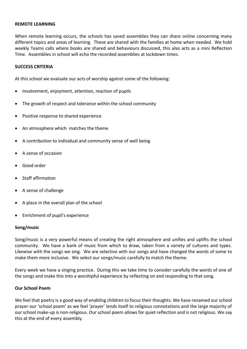#### **REMOTE LEARNING**

When remote learning occurs, the schools has saved assemblies they can share online concerning many different topics and areas of learning. These are shared with the families at home when needed. We hold weekly Teams calls where books are shared and behaviours discussed, this also acts as a mini Reflection Time. Assemblies in school will echo the recorded assemblies at lockdown times.

## **SUCCESS CRITERIA**

At this school we evaluate our acts of worship against some of the following:

- Involvement, enjoyment, attention, reaction of pupils
- The growth of respect and tolerance within the school community
- Positive response to shared experience
- An atmosphere which matches the theme
- A contribution to individual and community sense of well being
- A sense of occasion
- Good order
- Staff affirmation
- A sense of challenge
- A place in the overall plan of the school
- Enrichment of pupil's experience

#### **Song/music**

Song/music is a very powerful means of creating the right atmosphere and unifies and uplifts the school community. We have a bank of music from which to draw, taken from a variety of cultures and types. Likewise with the songs we sing. We are selective with our songs and have changed the words of some to make them more inclusive. We select our songs/music carefully to match the theme.

Every week we have a singing practice. During this we take time to consider carefully the words of one of the songs and make this into a worshipful experience by reflecting on and responding to that song.

### **Our School Poem**

We feel that poetry is a good way of enabling children to focus their thoughts. We have renamed our school prayer our 'school poem' as we feel 'prayer' lends itself to religious connotations and the large majority of our school make-up is non-religious. Our school poem allows for quiet reflection and is not religious. We say this at the end of every assembly.